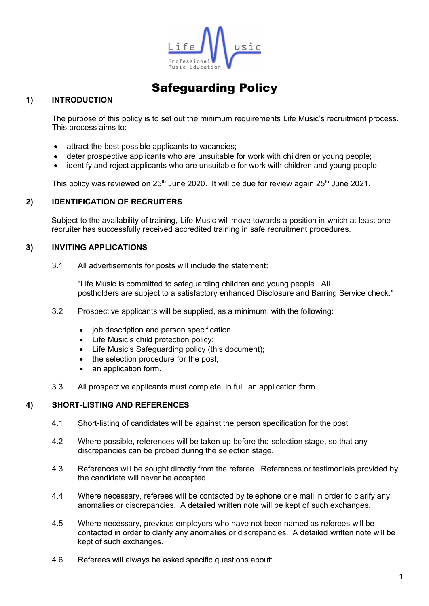

# Safeguarding Policy

## **1) INTRODUCTION**

The purpose of this policy is to set out the minimum requirements Life Music's recruitment process. This process aims to:

- attract the best possible applicants to vacancies;
- deter prospective applicants who are unsuitable for work with children or young people;
- identify and reject applicants who are unsuitable for work with children and young people.

This policy was reviewed on 25<sup>th</sup> June 2020. It will be due for review again 25<sup>th</sup> June 2021.

#### **2) IDENTIFICATION OF RECRUITERS**

Subject to the availability of training, Life Music will move towards a position in which at least one recruiter has successfully received accredited training in safe recruitment procedures.

#### **3) INVITING APPLICATIONS**

3.1 All advertisements for posts will include the statement:

"Life Music is committed to safeguarding children and young people. All postholders are subject to a satisfactory enhanced Disclosure and Barring Service check."

- 3.2 Prospective applicants will be supplied, as a minimum, with the following:
	- job description and person specification;
	- Life Music's child protection policy;
	- Life Music's Safeguarding policy (this document);
	- the selection procedure for the post;
	- an application form.
- 3.3 All prospective applicants must complete, in full, an application form.

#### **4) SHORT-LISTING AND REFERENCES**

- 4.1 Short-listing of candidates will be against the person specification for the post
- 4.2 Where possible, references will be taken up before the selection stage, so that any discrepancies can be probed during the selection stage.
- 4.3 References will be sought directly from the referee. References or testimonials provided by the candidate will never be accepted.
- 4.4 Where necessary, referees will be contacted by telephone or e mail in order to clarify any anomalies or discrepancies. A detailed written note will be kept of such exchanges.
- 4.5 Where necessary, previous employers who have not been named as referees will be contacted in order to clarify any anomalies or discrepancies. A detailed written note will be kept of such exchanges.
- 4.6 Referees will always be asked specific questions about: